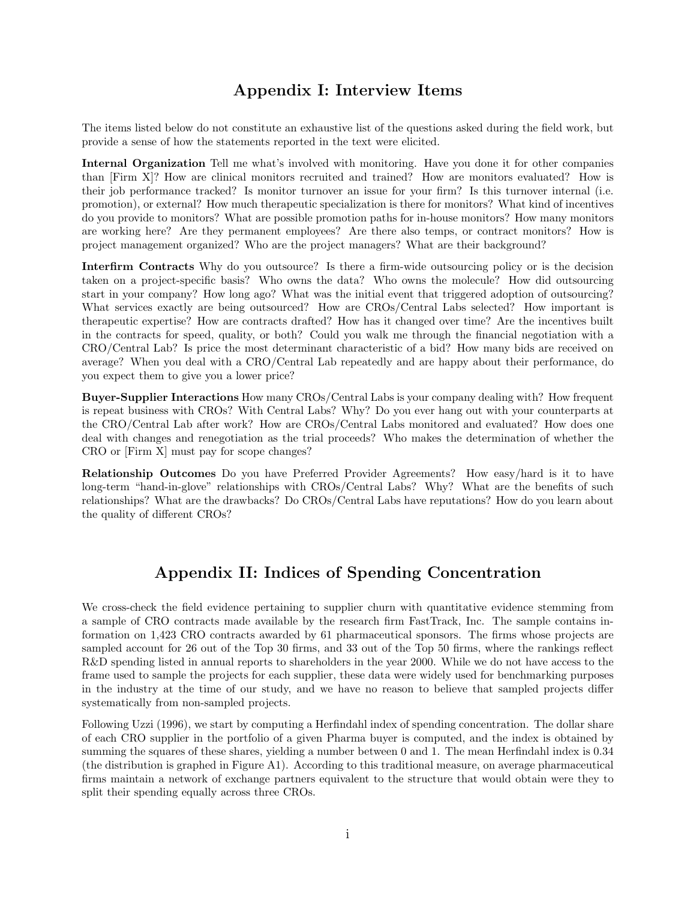## Appendix I: Interview Items

The items listed below do not constitute an exhaustive list of the questions asked during the field work, but provide a sense of how the statements reported in the text were elicited.

Internal Organization Tell me what's involved with monitoring. Have you done it for other companies than [Firm X]? How are clinical monitors recruited and trained? How are monitors evaluated? How is their job performance tracked? Is monitor turnover an issue for your firm? Is this turnover internal (i.e. promotion), or external? How much therapeutic specialization is there for monitors? What kind of incentives do you provide to monitors? What are possible promotion paths for in-house monitors? How many monitors are working here? Are they permanent employees? Are there also temps, or contract monitors? How is project management organized? Who are the project managers? What are their background?

Interfirm Contracts Why do you outsource? Is there a firm-wide outsourcing policy or is the decision taken on a project-specific basis? Who owns the data? Who owns the molecule? How did outsourcing start in your company? How long ago? What was the initial event that triggered adoption of outsourcing? What services exactly are being outsourced? How are CROs/Central Labs selected? How important is therapeutic expertise? How are contracts drafted? How has it changed over time? Are the incentives built in the contracts for speed, quality, or both? Could you walk me through the financial negotiation with a CRO/Central Lab? Is price the most determinant characteristic of a bid? How many bids are received on average? When you deal with a CRO/Central Lab repeatedly and are happy about their performance, do you expect them to give you a lower price?

Buyer-Supplier Interactions How many CROs/Central Labs is your company dealing with? How frequent is repeat business with CROs? With Central Labs? Why? Do you ever hang out with your counterparts at the CRO/Central Lab after work? How are CROs/Central Labs monitored and evaluated? How does one deal with changes and renegotiation as the trial proceeds? Who makes the determination of whether the CRO or [Firm X] must pay for scope changes?

Relationship Outcomes Do you have Preferred Provider Agreements? How easy/hard is it to have long-term "hand-in-glove" relationships with CROs/Central Labs? Why? What are the benefits of such relationships? What are the drawbacks? Do CROs/Central Labs have reputations? How do you learn about the quality of different CROs?

## Appendix II: Indices of Spending Concentration

We cross-check the field evidence pertaining to supplier churn with quantitative evidence stemming from a sample of CRO contracts made available by the research firm FastTrack, Inc. The sample contains information on 1,423 CRO contracts awarded by 61 pharmaceutical sponsors. The firms whose projects are sampled account for 26 out of the Top 30 firms, and 33 out of the Top 50 firms, where the rankings reflect R&D spending listed in annual reports to shareholders in the year 2000. While we do not have access to the frame used to sample the projects for each supplier, these data were widely used for benchmarking purposes in the industry at the time of our study, and we have no reason to believe that sampled projects differ systematically from non-sampled projects.

Following Uzzi (1996), we start by computing a Herfindahl index of spending concentration. The dollar share of each CRO supplier in the portfolio of a given Pharma buyer is computed, and the index is obtained by summing the squares of these shares, yielding a number between 0 and 1. The mean Herfindahl index is 0.34 (the distribution is graphed in Figure A1). According to this traditional measure, on average pharmaceutical firms maintain a network of exchange partners equivalent to the structure that would obtain were they to split their spending equally across three CROs.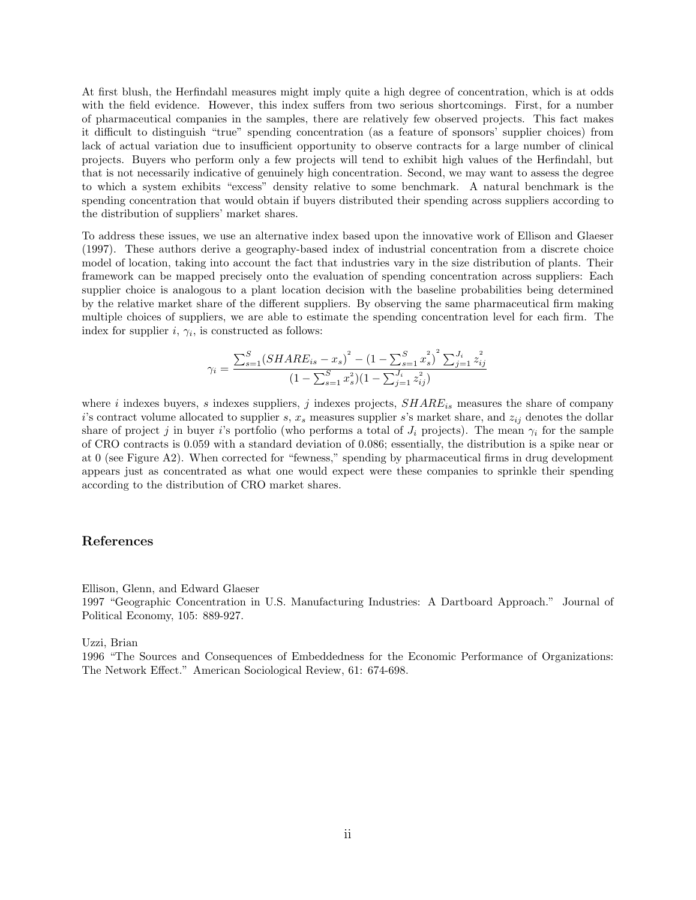At first blush, the Herfindahl measures might imply quite a high degree of concentration, which is at odds with the field evidence. However, this index suffers from two serious shortcomings. First, for a number of pharmaceutical companies in the samples, there are relatively few observed projects. This fact makes it difficult to distinguish "true" spending concentration (as a feature of sponsors' supplier choices) from lack of actual variation due to insufficient opportunity to observe contracts for a large number of clinical projects. Buyers who perform only a few projects will tend to exhibit high values of the Herfindahl, but that is not necessarily indicative of genuinely high concentration. Second, we may want to assess the degree to which a system exhibits "excess" density relative to some benchmark. A natural benchmark is the spending concentration that would obtain if buyers distributed their spending across suppliers according to the distribution of suppliers' market shares.

To address these issues, we use an alternative index based upon the innovative work of Ellison and Glaeser (1997). These authors derive a geography-based index of industrial concentration from a discrete choice model of location, taking into account the fact that industries vary in the size distribution of plants. Their framework can be mapped precisely onto the evaluation of spending concentration across suppliers: Each supplier choice is analogous to a plant location decision with the baseline probabilities being determined by the relative market share of the different suppliers. By observing the same pharmaceutical firm making multiple choices of suppliers, we are able to estimate the spending concentration level for each firm. The index for supplier  $i, \gamma_i$ , is constructed as follows:

$$
\gamma_i = \frac{\sum_{s=1}^{S} (SHARE_{is} - x_s)^2 - (1 - \sum_{s=1}^{S} x_s^2)^2 \sum_{j=1}^{J_i} z_{ij}^2}{(1 - \sum_{s=1}^{S} x_s^2)(1 - \sum_{j=1}^{J_i} z_{ij}^2)}
$$

where i indexes buyers, s indexes suppliers, j indexes projects,  $SHARE_{is}$  measures the share of company i's contract volume allocated to supplier s,  $x_s$  measures supplier s's market share, and  $z_{ij}$  denotes the dollar share of project j in buyer i's portfolio (who performs a total of  $J_i$  projects). The mean  $\gamma_i$  for the sample of CRO contracts is 0.059 with a standard deviation of 0.086; essentially, the distribution is a spike near or at 0 (see Figure A2). When corrected for "fewness," spending by pharmaceutical firms in drug development appears just as concentrated as what one would expect were these companies to sprinkle their spending according to the distribution of CRO market shares.

## References

Ellison, Glenn, and Edward Glaeser

1997 "Geographic Concentration in U.S. Manufacturing Industries: A Dartboard Approach." Journal of Political Economy, 105: 889-927.

Uzzi, Brian

1996 "The Sources and Consequences of Embeddedness for the Economic Performance of Organizations: The Network Effect." American Sociological Review, 61: 674-698.